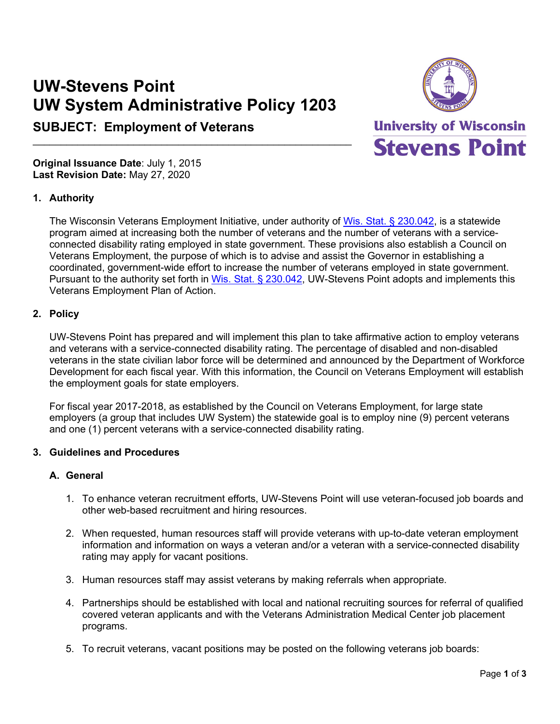# **UW-Stevens Point UW System Administrative Policy 1203**

 $\mathcal{L}_\text{max}$  , and the contract of the contract of the contract of the contract of the contract of the contract of the contract of the contract of the contract of the contract of the contract of the contract of the contr

# **SUBJECT: Employment of Veterans**



**University of Wisconsin Stevens Point** 

**Original Issuance Date**: July 1, 2015 **Last Revision Date:** May 27, 2020

# **1. Authority**

The Wisconsin Veterans Employment Initiative, under authority of [Wis. Stat. § 230.042,](https://docs.legis.wisconsin.gov/statutes/statutes/230/I/042) is a statewide program aimed at increasing both the number of veterans and the number of veterans with a serviceconnected disability rating employed in state government. These provisions also establish a Council on Veterans Employment, the purpose of which is to advise and assist the Governor in establishing a coordinated, government-wide effort to increase the number of veterans employed in state government. Pursuant to the authority set forth in [Wis. Stat. § 230.042,](https://docs.legis.wisconsin.gov/statutes/statutes/230/I/042) UW-Stevens Point adopts and implements this Veterans Employment Plan of Action.

# **2. Policy**

UW-Stevens Point has prepared and will implement this plan to take affirmative action to employ veterans and veterans with a service-connected disability rating. The percentage of disabled and non-disabled veterans in the state civilian labor force will be determined and announced by the Department of Workforce Development for each fiscal year. With this information, the Council on Veterans Employment will establish the employment goals for state employers.

For fiscal year 2017-2018, as established by the Council on Veterans Employment, for large state employers (a group that includes UW System) the statewide goal is to employ nine (9) percent veterans and one (1) percent veterans with a service-connected disability rating.

# **3. Guidelines and Procedures**

#### **A. General**

- 1. To enhance veteran recruitment efforts, UW-Stevens Point will use veteran-focused job boards and other web-based recruitment and hiring resources.
- 2. When requested, human resources staff will provide veterans with up-to-date veteran employment information and information on ways a veteran and/or a veteran with a service-connected disability rating may apply for vacant positions.
- 3. Human resources staff may assist veterans by making referrals when appropriate.
- 4. Partnerships should be established with local and national recruiting sources for referral of qualified covered veteran applicants and with the Veterans Administration Medical Center job placement programs.
- 5. To recruit veterans, vacant positions may be posted on the following veterans job boards: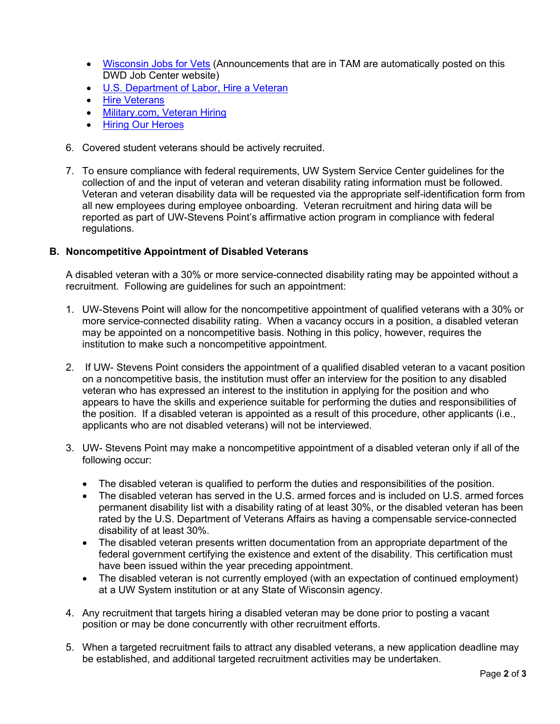- [Wisconsin Jobs for Vets](http://wisconsinjobcenter.org/veterans/) (Announcements that are in TAM are automatically posted on this DWD Job Center website)
- [U.S. Department of Labor, Hire a Veteran](https://www.dol.gov/veterans/hireaveteran/)
- [Hire Veterans](https://hireveterans.com/)
- [Military.com, Veteran Hiring](https://www.military.com/hiring-veterans)
- [Hiring Our Heroes](https://www.uschamberfoundation.org/hiring-our-heroes)
- 6. Covered student veterans should be actively recruited.
- 7. To ensure compliance with federal requirements, UW System Service Center guidelines for the collection of and the input of veteran and veteran disability rating information must be followed. Veteran and veteran disability data will be requested via the appropriate self-identification form from all new employees during employee onboarding. Veteran recruitment and hiring data will be reported as part of UW-Stevens Point's affirmative action program in compliance with federal regulations.

# **B. Noncompetitive Appointment of Disabled Veterans**

A disabled veteran with a 30% or more service-connected disability rating may be appointed without a recruitment. Following are guidelines for such an appointment:

- 1. UW-Stevens Point will allow for the noncompetitive appointment of qualified veterans with a 30% or more service-connected disability rating. When a vacancy occurs in a position, a disabled veteran may be appointed on a noncompetitive basis. Nothing in this policy, however, requires the institution to make such a noncompetitive appointment.
- 2. If UW- Stevens Point considers the appointment of a qualified disabled veteran to a vacant position on a noncompetitive basis, the institution must offer an interview for the position to any disabled veteran who has expressed an interest to the institution in applying for the position and who appears to have the skills and experience suitable for performing the duties and responsibilities of the position. If a disabled veteran is appointed as a result of this procedure, other applicants (i.e., applicants who are not disabled veterans) will not be interviewed.
- 3. UW- Stevens Point may make a noncompetitive appointment of a disabled veteran only if all of the following occur:
	- The disabled veteran is qualified to perform the duties and responsibilities of the position.
	- The disabled veteran has served in the U.S. armed forces and is included on U.S. armed forces permanent disability list with a disability rating of at least 30%, or the disabled veteran has been rated by the U.S. Department of Veterans Affairs as having a compensable service-connected disability of at least 30%.
	- The disabled veteran presents written documentation from an appropriate department of the federal government certifying the existence and extent of the disability. This certification must have been issued within the year preceding appointment.
	- The disabled veteran is not currently employed (with an expectation of continued employment) at a UW System institution or at any State of Wisconsin agency.
- 4. Any recruitment that targets hiring a disabled veteran may be done prior to posting a vacant position or may be done concurrently with other recruitment efforts.
- 5. When a targeted recruitment fails to attract any disabled veterans, a new application deadline may be established, and additional targeted recruitment activities may be undertaken.